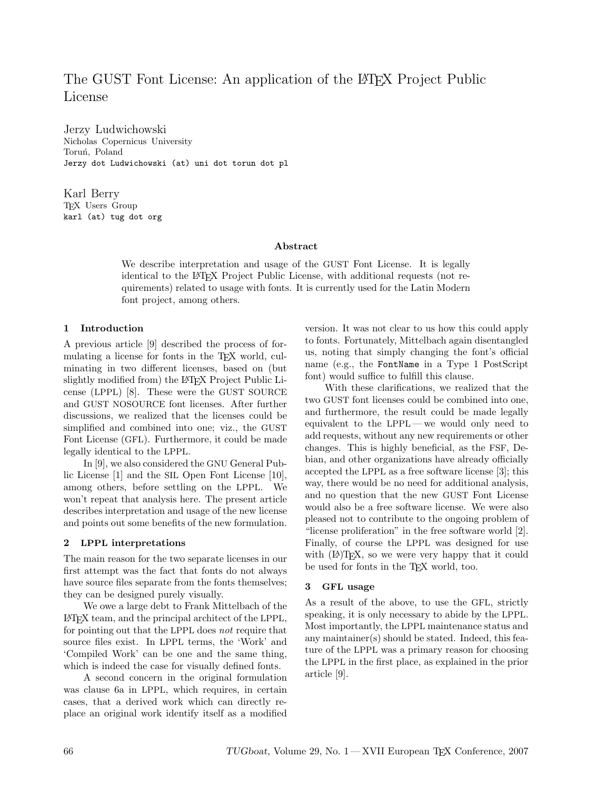# The GUST Font License: An application of the LAT<sub>EX</sub> Project Public License

Jerzy Ludwichowski Nicholas Copernicus University Toruń, Poland Jerzy dot Ludwichowski (at) uni dot torun dot pl

Karl Berry TEX Users Group karl (at) tug dot org

#### Abstract

We describe interpretation and usage of the GUST Font License. It is legally identical to the LATEX Project Public License, with additional requests (not requirements) related to usage with fonts. It is currently used for the Latin Modern font project, among others.

## 1 Introduction

A previous article [9] described the process of formulating a license for fonts in the TEX world, culminating in two different licenses, based on (but slightly modified from) the LAT<sub>EX</sub> Project Public License (LPPL) [8]. These were the GUST SOURCE and GUST NOSOURCE font licenses. After further discussions, we realized that the licenses could be simplified and combined into one; viz., the GUST Font License (GFL). Furthermore, it could be made legally identical to the LPPL.

In [9], we also considered the GNU General Public License [1] and the SIL Open Font License [10], among others, before settling on the LPPL. We won't repeat that analysis here. The present article describes interpretation and usage of the new license and points out some benefits of the new formulation.

# 2 LPPL interpretations

The main reason for the two separate licenses in our first attempt was the fact that fonts do not always have source files separate from the fonts themselves; they can be designed purely visually.

We owe a large debt to Frank Mittelbach of the LATEX team, and the principal architect of the LPPL, for pointing out that the LPPL does not require that source files exist. In LPPL terms, the 'Work' and 'Compiled Work' can be one and the same thing, which is indeed the case for visually defined fonts.

A second concern in the original formulation was clause 6a in LPPL, which requires, in certain cases, that a derived work which can directly replace an original work identify itself as a modified version. It was not clear to us how this could apply to fonts. Fortunately, Mittelbach again disentangled us, noting that simply changing the font's official name (e.g., the FontName in a Type 1 PostScript font) would suffice to fulfill this clause.

With these clarifications, we realized that the two GUST font licenses could be combined into one, and furthermore, the result could be made legally equivalent to the LPPL — we would only need to add requests, without any new requirements or other changes. This is highly beneficial, as the FSF, Debian, and other organizations have already officially accepted the LPPL as a free software license [3]; this way, there would be no need for additional analysis, and no question that the new GUST Font License would also be a free software license. We were also pleased not to contribute to the ongoing problem of "license proliferation" in the free software world [2]. Finally, of course the LPPL was designed for use with  $(E)$ T<sub>F</sub>X, so we were very happy that it could be used for fonts in the TEX world, too.

## 3 GFL usage

As a result of the above, to use the GFL, strictly speaking, it is only necessary to abide by the LPPL. Most importantly, the LPPL maintenance status and any maintainer(s) should be stated. Indeed, this feature of the LPPL was a primary reason for choosing the LPPL in the first place, as explained in the prior article [9].